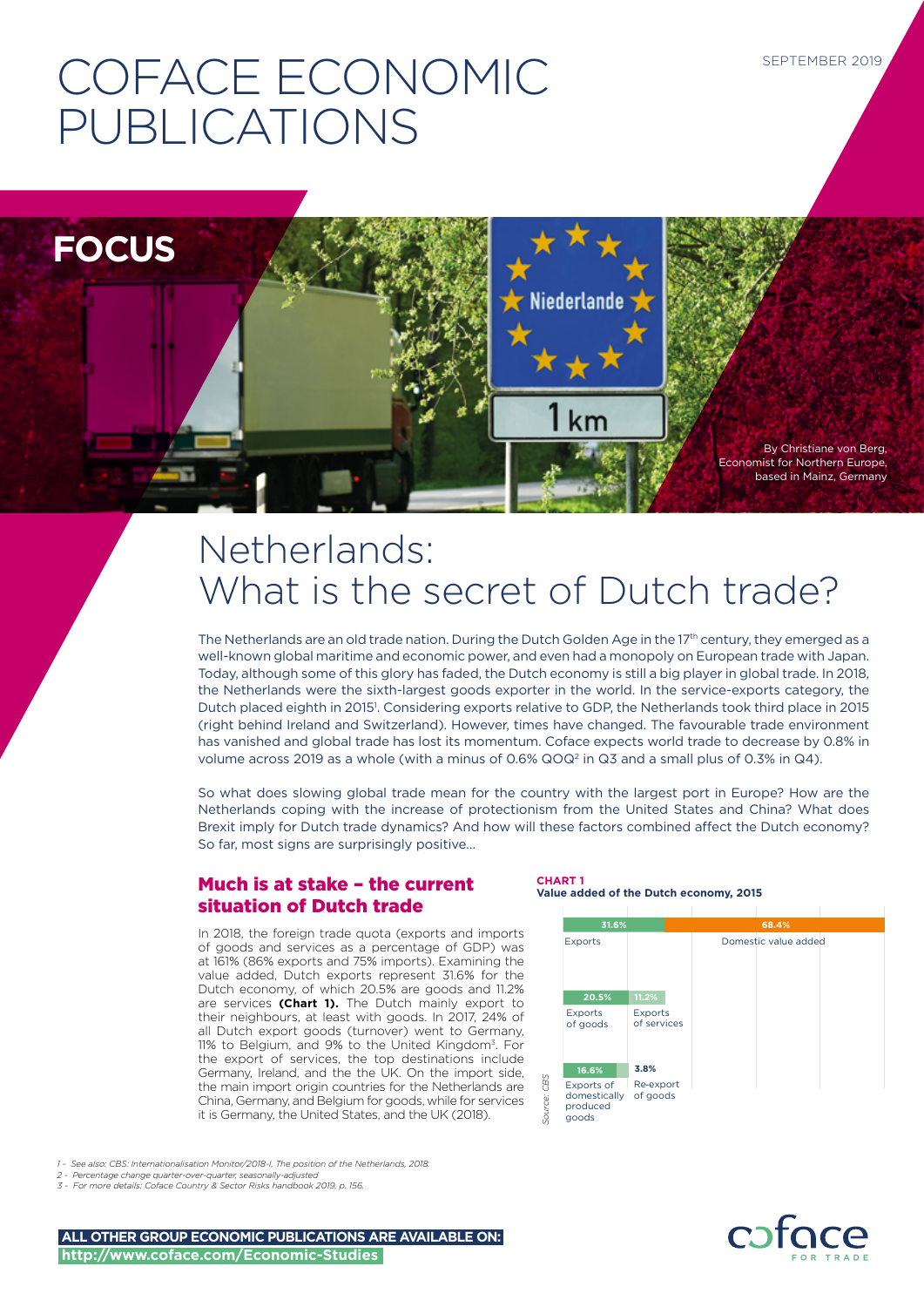# COFACE ECONOMIC PUBLICATIONS



# Netherlands: What is the secret of Dutch trade?

The Netherlands are an old trade nation. During the Dutch Golden Age in the 17<sup>th</sup> century, they emerged as a well-known global maritime and economic power, and even had a monopoly on European trade with Japan. Today, although some of this glory has faded, the Dutch economy is still a big player in global trade. In 2018, the Netherlands were the sixth-largest goods exporter in the world. In the service-exports category, the Dutch placed eighth in 2015<sup>1</sup>. Considering exports relative to GDP, the Netherlands took third place in 2015 (right behind Ireland and Switzerland). However, times have changed. The favourable trade environment has vanished and global trade has lost its momentum. Coface expects world trade to decrease by 0.8% in volume across 2019 as a whole (with a minus of 0.6%  $QQ^2$  in  $Q3$  and a small plus of 0.3% in  $Q4$ ).

So what does slowing global trade mean for the country with the largest port in Europe? How are the Netherlands coping with the increase of protectionism from the United States and China? What does Brexit imply for Dutch trade dynamics? And how will these factors combined affect the Dutch economy? So far, most signs are surprisingly positive…

# Much is at stake – the current situation of Dutch trade

In 2018, the foreign trade quota (exports and imports of goods and services as a percentage of GDP) was at 161% (86% exports and 75% imports). Examining the value added, Dutch exports represent 31.6% for the Dutch economy, of which 20.5% are goods and 11.2% are services **(Chart 1).** The Dutch mainly export to their neighbours, at least with goods. In 2017, 24% of all Dutch export goods (turnover) went to Germany, 11% to Belgium, and 9% to the United Kingdom3. For the export of services, the top destinations include Germany, Ireland, and the the UK. On the import side, the main import origin countries for the Netherlands are China, Germany, and Belgium for goods, while for services it is Germany, the United States, and the UK (2018).



#### *1 - See also: CBS: Internationalisation Monitor/2018-I, The position of the Netherlands, 2018.*

- *2 Percentage change quarter-over-quarter, seasonally-adjusted*
- *3 For more details: Coface Country & Sector Risks handbook 2019, p. 156.*

**ALL OTHER GROUP ECONOMIC PUBLICATIONS ARE AVAILABLE ON: http://www.coface.com/Economic-Studies**

#### **CHART 1 Value added of the Dutch economy, 2015**

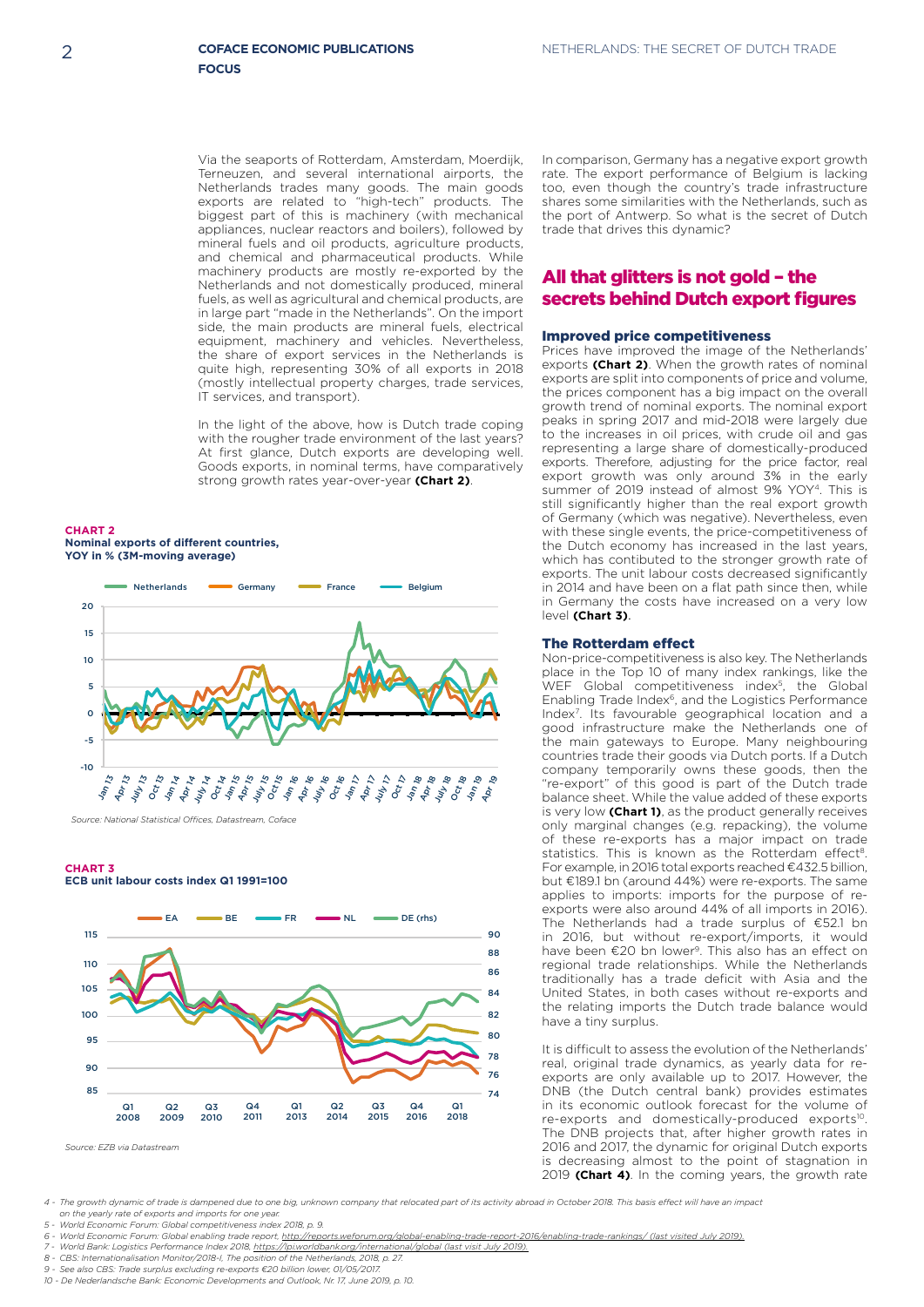Via the seaports of Rotterdam, Amsterdam, Moerdijk, Terneuzen, and several international airports, the Netherlands trades many goods. The main goods exports are related to "high-tech" products. The biggest part of this is machinery (with mechanical appliances, nuclear reactors and boilers), followed by mineral fuels and oil products, agriculture products, and chemical and pharmaceutical products. While machinery products are mostly re-exported by the Netherlands and not domestically produced, mineral fuels, as well as agricultural and chemical products, are in large part "made in the Netherlands". On the import side, the main products are mineral fuels, electrical equipment, machinery and vehicles. Nevertheless, the share of export services in the Netherlands is quite high, representing 30% of all exports in 2018 (mostly intellectual property charges, trade services, IT services, and transport).

In the light of the above, how is Dutch trade coping with the rougher trade environment of the last years? At first glance, Dutch exports are developing well. Goods exports, in nominal terms, have comparatively strong growth rates year-over-year **(Chart 2)**.

**CHART 2 Nominal exports of different countries, YOY in % (3M-moving average)**



*Source: National Statistical Offices, Datastream, Coface*

#### **CHART 3 ECB unit labour costs index Q1 1991=100**



In comparison, Germany has a negative export growth rate. The export performance of Belgium is lacking too, even though the country's trade infrastructure shares some similarities with the Netherlands, such as the port of Antwerp. So what is the secret of Dutch trade that drives this dynamic?

### All that glitters is not gold – the secrets behind Dutch export figures

#### Improved price competitiveness

Prices have improved the image of the Netherlands' exports **(Chart 2)**. When the growth rates of nominal exports are split into components of price and volume, the prices component has a big impact on the overall growth trend of nominal exports. The nominal export peaks in spring 2017 and mid-2018 were largely due to the increases in oil prices, with crude oil and gas representing a large share of domestically-produced exports. Therefore, adjusting for the price factor, real export growth was only around 3% in the early summer of 2019 instead of almost 9% YOY<sup>4</sup>. This is still significantly higher than the real export growth of Germany (which was negative). Nevertheless, even with these single events, the price-competitiveness of the Dutch economy has increased in the last years, which has contibuted to the stronger growth rate of exports. The unit labour costs decreased significantly in 2014 and have been on a flat path since then, while in Germany the costs have increased on a very low level (Chart 3).

#### The Rotterdam effect

**Non-price-competitiveness is also key. The Netherlands** place in the Top 10 of many index rankings, like the WEF Global competitiveness index5, the Global Enabling Trade Index<sup>6</sup>, and the Logistics Performance Index7. Its favourable geographical location and a good infrastructure make the Netherlands one of the main gateways to Europe. Many neighbouring countries trade their goods via Dutch ports. If a Dutch company temporarily owns these goods, then the "re-export" of this good is part of the Dutch trade balance sheet. While the value added of these exports is very low **(Chart 1)**, as the product generally receives only marginal changes (e.g. repacking), the volume of these re-exports has a major impact on trade statistics. This is known as the Rotterdam effect<sup>8</sup>. For example, in 2016 total exports reached €432.5 billion, but €189.1 bn (around 44%) were re-exports. The same applies to imports: imports for the purpose of reexports were also around 44% of all imports in 2016). The Netherlands had a trade surplus of €52.1 bn in 2016, but without re-export/imports, it would have been €20 bn lower9. This also has an effect on regional trade relationships. While the Netherlands **Private and it is a trade deficit with Asia and the** and the United States, in both cases without re-exports and the relating imports the Dutch trade balance would have a tiny surplus.

It is difficult to assess the evolution of the Netherlands' real, original trade dynamics, as yearly data for reexports are only available up to 2017. However, the DNB (the Dutch central bank) provides estimates in its economic outlook forecast for the volume of re-exports and domestically-produced exports<sup>10</sup>. The DNB projects that, after higher growth rates in 2016 and 2017, the dynamic for original Dutch exports zolo and zon, the dynamic for original Baten exports<br>is decreasing almost to the point of stagnation in 2019 **(Chart 4)**. In the coming years, the growth rate

*4 - The growth dynamic of trade is dampened due to one big, unknown company that relocated part of its activity abroad in October 2018. This basis effect will have an impact on the yearly rate of exports and imports for one year.*

*7 - World Bank: Logistics Performance Index 2018, https://lpi.worldbank.org/international/global (last visit July 2019).*

- *8 CBS: Internationalisation Monitor/2018-I, The position of the Netherlands, 2018, p. 27.*
- *9 See also CBS: Trade surplus excluding re-exports €20 billion lower, 01/05/2017.*
- *10 De Nederlandsche Bank: Economic Developments and Outlook, Nr. 17, June 2019, p. 10.*

*<sup>5 -</sup> World Economic Forum: Global competitiveness index 2018, p. 9. 6 - World Economic Forum: Global enabling trade report, http://reports.weforum.org/global-enabling-trade-report-2016/enabling-trade-rankings/ (last visited July 2019).*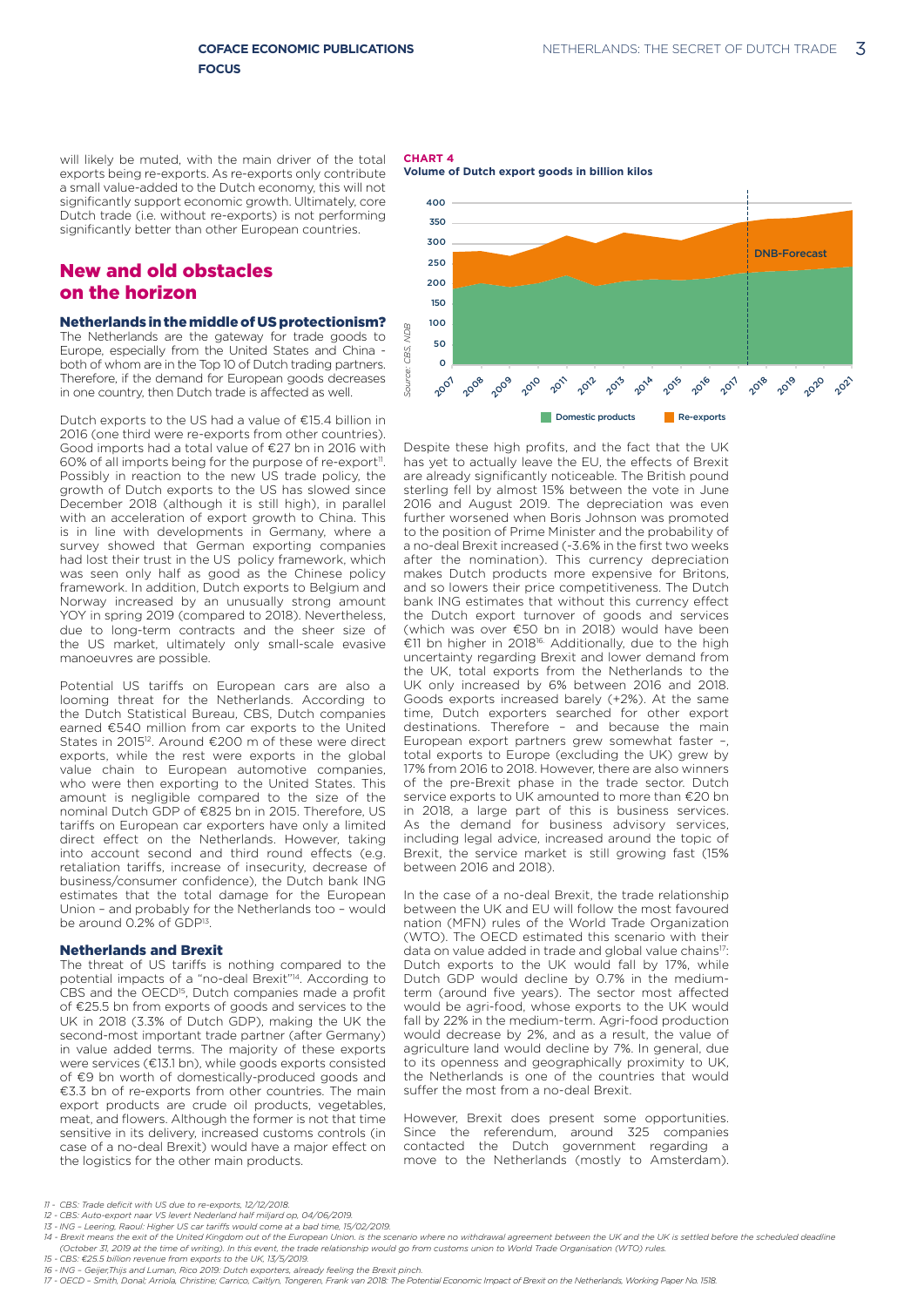will likely be muted, with the main driver of the total exports being re-exports. As re-exports only contribute a small value-added to the Dutch economy, this will not significantly support economic growth. Ultimately, core Dutch trade (i.e. without re-exports) is not performing significantly better than other European countries.

# New and old obstacles on the horizon

#### Netherlands in the middle of US protectionism?

The Netherlands are the gateway for trade goods to Europe, especially from the United States and China both of whom are in the Top 10 of Dutch trading partners. Therefore, if the demand for European goods decreases in one country, then Dutch trade is affected as well.

Dutch exports to the US had a value of €15.4 billion in 2016 (one third were re-exports from other countries). Good imports had a total value of €27 bn in 2016 with 60% of all imports being for the purpose of re-export<sup>11</sup>. Possibly in reaction to the new US trade policy, the growth of Dutch exports to the US has slowed since December 2018 (although it is still high), in parallel with an acceleration of export growth to China. This is in line with developments in Germany, where a survey showed that German exporting companies had lost their trust in the US policy framework, which was seen only half as good as the Chinese policy framework. In addition, Dutch exports to Belgium and Norway increased by an unusually strong amount YOY in spring 2019 (compared to 2018). Nevertheless, due to long-term contracts and the sheer size of the US market, ultimately only small-scale evasive manoeuvres are possible.

Potential US tariffs on European cars are also a looming threat for the Netherlands. According to the Dutch Statistical Bureau, CBS, Dutch companies earned €540 million from car exports to the United States in 201512. Around €200 m of these were direct exports, while the rest were exports in the global value chain to European automotive companies, who were then exporting to the United States. This amount is negligible compared to the size of the nominal Dutch GDP of €825 bn in 2015. Therefore, US tariffs on European car exporters have only a limited direct effect on the Netherlands. However, taking into account second and third round effects (e.g. retaliation tariffs, increase of insecurity, decrease of business/consumer confidence), the Dutch bank ING estimates that the total damage for the European Union – and probably for the Netherlands too – would be around 0.2% of GDP<sup>13</sup>.

#### Netherlands and Brexit

The threat of US tariffs is nothing compared to the potential impacts of a "no-deal Brexit"14. According to CBS and the OECD<sup>15</sup>, Dutch companies made a profit of €25.5 bn from exports of goods and services to the UK in 2018 (3.3% of Dutch GDP), making the UK the second-most important trade partner (after Germany) in value added terms. The majority of these exports were services (€13.1 bn), while goods exports consisted of €9 bn worth of domestically-produced goods and €3.3 bn of re-exports from other countries. The main export products are crude oil products, vegetables, meat, and flowers. Although the former is not that time sensitive in its delivery, increased customs controls (in case of a no-deal Brexit) would have a major effect on the logistics for the other main products.





Despite these high profits, and the fact that the UK has yet to actually leave the EU, the effects of Brexit are already significantly noticeable. The British pound sterling fell by almost 15% between the vote in June 2016 and August 2019. The depreciation was even further worsened when Boris Johnson was promoted to the position of Prime Minister and the probability of a no-deal Brexit increased (-3.6% in the first two weeks after the nomination). This currency depreciation makes Dutch products more expensive for Britons, and so lowers their price competitiveness. The Dutch bank ING estimates that without this currency effect the Dutch export turnover of goods and services (which was over €50 bn in 2018) would have been €11 bn higher in 201816. Additionally, due to the high uncertainty regarding Brexit and lower demand from the UK, total exports from the Netherlands to the UK only increased by 6% between 2016 and 2018. Goods exports increased barely (+2%). At the same time, Dutch exporters searched for other export destinations. Therefore – and because the main European export partners grew somewhat faster –, total exports to Europe (excluding the UK) grew by 17% from 2016 to 2018. However, there are also winners of the pre-Brexit phase in the trade sector. Dutch service exports to UK amounted to more than €20 bn in 2018, a large part of this is business services. As the demand for business advisory services, including legal advice, increased around the topic of Brexit, the service market is still growing fast (15% between 2016 and 2018). essays or **a Example in the fitst and the fact that like UK and the fact that like UK and the fact that like UK and the fact that the UK and Amsterdam) increading the carriers of the specific of the System and step of t** 

In the case of a no-deal Brexit, the trade relationship between the UK and EU will follow the most favoured nation (MFN) rules of the World Trade Organization (WTO). The OECD estimated this scenario with their data on value added in trade and global value chains<sup>17</sup>: Dutch exports to the UK would fall by 17%, while Dutch GDP would decline by 0.7% in the mediumterm (around five years). The sector most affected would be agri-food, whose exports to the UK would fall by 22% in the medium-term. Agri-food production would decrease by 2%, and as a result, the value of agriculture land would decline by 7%. In general, due to its openness and geographically proximity to UK, the Netherlands is one of the countries that would suffer the most from a no-deal Brexit.

However, Brexit does present some opportunities. Since the referendum, around 325 companies contacted the Dutch government regarding a

- *11 - CBS: Trade deficit with US due to re-exports, 12/12/2018.*
- *12 - CBS: Auto-export naar VS levert Nederland half miljard op, 04/06/2019.*
- *13 - ING Leering, Raoul: Higher US car tariffs would come at a bad time, 15/02/2019.*

- *15 - CBS: €25.5 billion revenue from exports to the UK, 13/5/2019.*
- *16 - ING Geijer,Thijs and Luman, Rico 2019: Dutch exporters, already feeling the Brexit pinch.*

<sup>14 -</sup> Brexit means the exit of the United Kingdom out of the European Union. is the scenario where no withdrawal agreement between the UK and the UK is settled before the scheduled deadline *(October 31, 2019 at the time of writing). In this event, the trade relationship would go from customs union to World Trade Organisation (WTO) rules.*